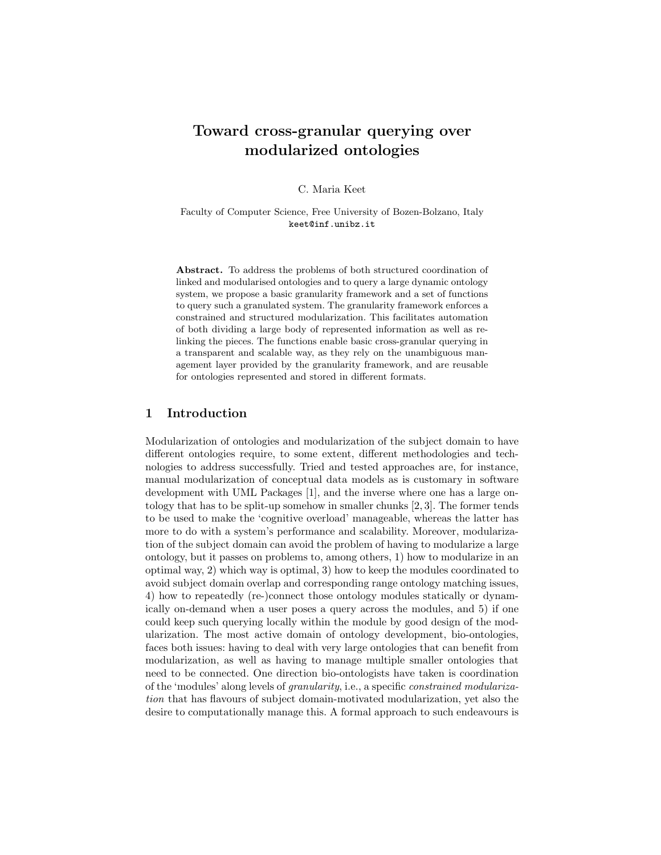# Toward cross-granular querying over modularized ontologies

C. Maria Keet

Faculty of Computer Science, Free University of Bozen-Bolzano, Italy keet@inf.unibz.it

Abstract. To address the problems of both structured coordination of linked and modularised ontologies and to query a large dynamic ontology system, we propose a basic granularity framework and a set of functions to query such a granulated system. The granularity framework enforces a constrained and structured modularization. This facilitates automation of both dividing a large body of represented information as well as relinking the pieces. The functions enable basic cross-granular querying in a transparent and scalable way, as they rely on the unambiguous management layer provided by the granularity framework, and are reusable for ontologies represented and stored in different formats.

#### 1 Introduction

Modularization of ontologies and modularization of the subject domain to have different ontologies require, to some extent, different methodologies and technologies to address successfully. Tried and tested approaches are, for instance, manual modularization of conceptual data models as is customary in software development with UML Packages [1], and the inverse where one has a large ontology that has to be split-up somehow in smaller chunks [2, 3]. The former tends to be used to make the 'cognitive overload' manageable, whereas the latter has more to do with a system's performance and scalability. Moreover, modularization of the subject domain can avoid the problem of having to modularize a large ontology, but it passes on problems to, among others, 1) how to modularize in an optimal way, 2) which way is optimal, 3) how to keep the modules coordinated to avoid subject domain overlap and corresponding range ontology matching issues, 4) how to repeatedly (re-)connect those ontology modules statically or dynamically on-demand when a user poses a query across the modules, and 5) if one could keep such querying locally within the module by good design of the modularization. The most active domain of ontology development, bio-ontologies, faces both issues: having to deal with very large ontologies that can benefit from modularization, as well as having to manage multiple smaller ontologies that need to be connected. One direction bio-ontologists have taken is coordination of the 'modules' along levels of granularity, i.e., a specific constrained modularization that has flavours of subject domain-motivated modularization, yet also the desire to computationally manage this. A formal approach to such endeavours is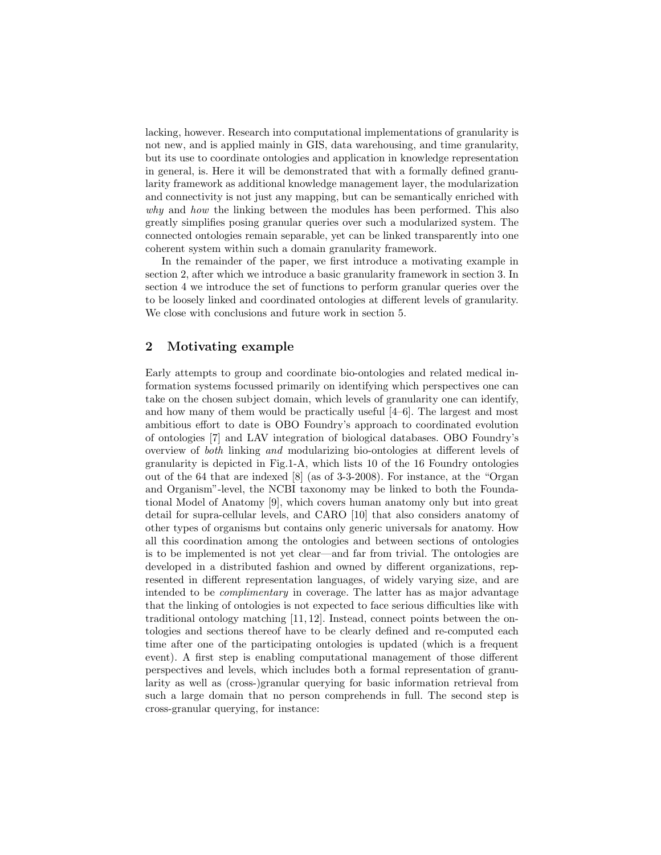lacking, however. Research into computational implementations of granularity is not new, and is applied mainly in GIS, data warehousing, and time granularity, but its use to coordinate ontologies and application in knowledge representation in general, is. Here it will be demonstrated that with a formally defined granularity framework as additional knowledge management layer, the modularization and connectivity is not just any mapping, but can be semantically enriched with why and how the linking between the modules has been performed. This also greatly simplifies posing granular queries over such a modularized system. The connected ontologies remain separable, yet can be linked transparently into one coherent system within such a domain granularity framework.

In the remainder of the paper, we first introduce a motivating example in section 2, after which we introduce a basic granularity framework in section 3. In section 4 we introduce the set of functions to perform granular queries over the to be loosely linked and coordinated ontologies at different levels of granularity. We close with conclusions and future work in section 5.

## 2 Motivating example

Early attempts to group and coordinate bio-ontologies and related medical information systems focussed primarily on identifying which perspectives one can take on the chosen subject domain, which levels of granularity one can identify, and how many of them would be practically useful [4–6]. The largest and most ambitious effort to date is OBO Foundry's approach to coordinated evolution of ontologies [7] and LAV integration of biological databases. OBO Foundry's overview of both linking and modularizing bio-ontologies at different levels of granularity is depicted in Fig.1-A, which lists 10 of the 16 Foundry ontologies out of the 64 that are indexed [8] (as of 3-3-2008). For instance, at the "Organ and Organism"-level, the NCBI taxonomy may be linked to both the Foundational Model of Anatomy [9], which covers human anatomy only but into great detail for supra-cellular levels, and CARO [10] that also considers anatomy of other types of organisms but contains only generic universals for anatomy. How all this coordination among the ontologies and between sections of ontologies is to be implemented is not yet clear—and far from trivial. The ontologies are developed in a distributed fashion and owned by different organizations, represented in different representation languages, of widely varying size, and are intended to be *complimentary* in coverage. The latter has as major advantage that the linking of ontologies is not expected to face serious difficulties like with traditional ontology matching [11, 12]. Instead, connect points between the ontologies and sections thereof have to be clearly defined and re-computed each time after one of the participating ontologies is updated (which is a frequent event). A first step is enabling computational management of those different perspectives and levels, which includes both a formal representation of granularity as well as (cross-)granular querying for basic information retrieval from such a large domain that no person comprehends in full. The second step is cross-granular querying, for instance: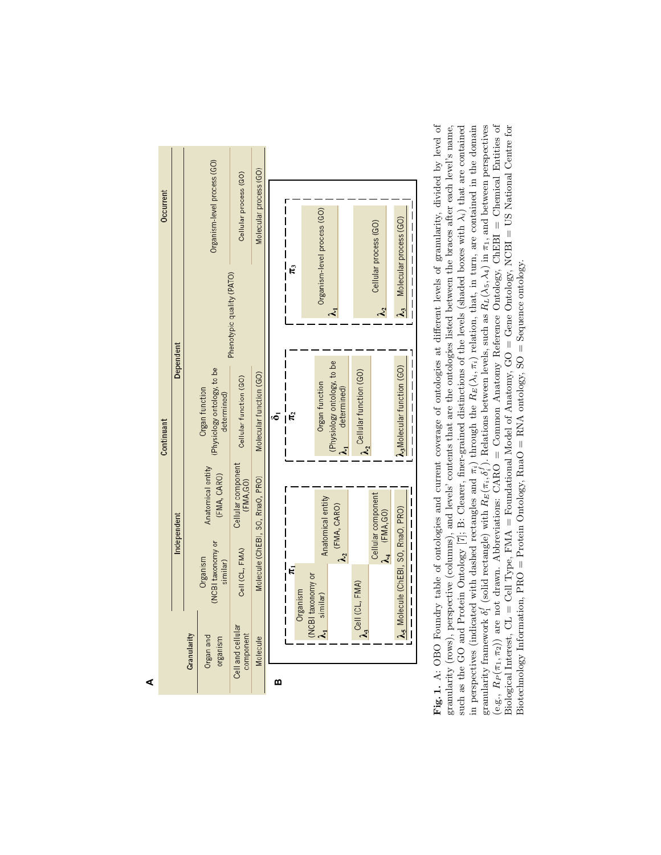| Cellular component<br>Anatomical entity<br>(FMA, CARO)<br>Molecule (ChEBI, SO, RnaO, PRO)<br>(FMA, GO)<br>Cellular component<br>Anatomical entity<br>$\lambda_2$ <sup>(FMA, CARO)</sup><br>25 Molecule (ChEBI, SO, RnaO, PRO)<br>$\lambda$ 4 (FMA, GO)<br>Independent<br>(NCBI taxonomy or<br>Cell (CL, FMA)<br>Organism<br>similar)<br>Ę<br>(NCBI taxonomy or<br>$\lambda_3^{\text{Cell (CL, FMA)}}$<br>Organism<br>$\lambda_1$ similar)<br>Molecule<br>organism | Occurrent<br>Continuant | Dependent |             | Organism-level process (GO)<br>(Physiology ontology, to be<br>Organ function<br>determined) | Cellular process (GO)<br>Phenotypic quality (PATO)<br>Cellular function (GO) | Molecular process (GO)<br>Molecular function (GO) | Ę<br>$\boldsymbol{\kappa}$ | Organism-level process (GO)<br>Organ function | ζ<br>(Physiology ontology, to be<br>determined)<br>$\lambda_1$ | $\lambda_2$ Cellular function (GO) | Cellular process (GO)<br>$\lambda_2$ | $\lambda_3$ Molecular process (GO)<br>$\lambda$ <sub>3</sub> Molecular function (GO) |
|-------------------------------------------------------------------------------------------------------------------------------------------------------------------------------------------------------------------------------------------------------------------------------------------------------------------------------------------------------------------------------------------------------------------------------------------------------------------|-------------------------|-----------|-------------|---------------------------------------------------------------------------------------------|------------------------------------------------------------------------------|---------------------------------------------------|----------------------------|-----------------------------------------------|----------------------------------------------------------------|------------------------------------|--------------------------------------|--------------------------------------------------------------------------------------|
|                                                                                                                                                                                                                                                                                                                                                                                                                                                                   |                         |           | Granularity | Organ and                                                                                   | Cell and cellular<br>component                                               |                                                   |                            |                                               |                                                                |                                    |                                      |                                                                                      |

such as the GO and Protein Ontology [7]; B: Clearer, finer-grained distinctions of the levels (shaded boxes with  $\lambda_i$ ) that are contained in perspectives (indicated with dashed rectangles and  $\pi_i$ ) through the  $R_E(\lambda_i, \pi$ Fig. 1. A: OBO Foundry table of ontologies and current coverage of ontologies at different levels of granularity, divided by level of granularity (rows), perspective (columns), and levels' contents that are the ontologies listed between the braces after each level's name, Biological Interest, CL = Cell Type, FMA = Foundational Model of Anatomy, GO = Gene Ontology, NCBI = US National Centre for Fig. 1. A: OBO Foundry table of ontologies and current coverage of ontologies at different levels of granularity, divided by level of  $\lambda_i$ ) that are contained  $E(\lambda_i, \pi_i)$  relation, that, in turn, are contained in the domain  $\pi_1$ , and between perspectives  $P(\pi_1, \pi_2)$ ) are not drawn. Abbreviations: CARO = Common Anatomy Reference Ontology, ChEBI = Chemical Entities of Biological Interest, CL = Cell Type, FMA = Foundational Model of Anatomy, GO = Gene Ontology, NCBI = US National Centre for granularity (rows), perspective (columns), and levels' contents that are the ontologies listed between the braces after each level's name, such as the GO and Protein Ontology [7]; B: Clearer, finer-grained distinctions of the levels (shaded boxes with  $R_L(\lambda_5,\lambda_4)$  in Biotechnology Information,  $PRO$  = Protein Ontology, RnaO = RNA ontology,  $SO$  = Sequence ontology. Biotechnology Information, PRO = Protein Ontology, RnaO = RNA ontology, SO = Sequence ontology. $\frac{J}{i}$ ). Relations between levels, such as  $\pi_i$ ) through the  $R_E(\pi_i,\delta_i^f$ in perspectives (indicated with dashed rectangles and (solid rectangle) with f 1granularity framework  $\delta$  $R_P$ (e.g.,

**A**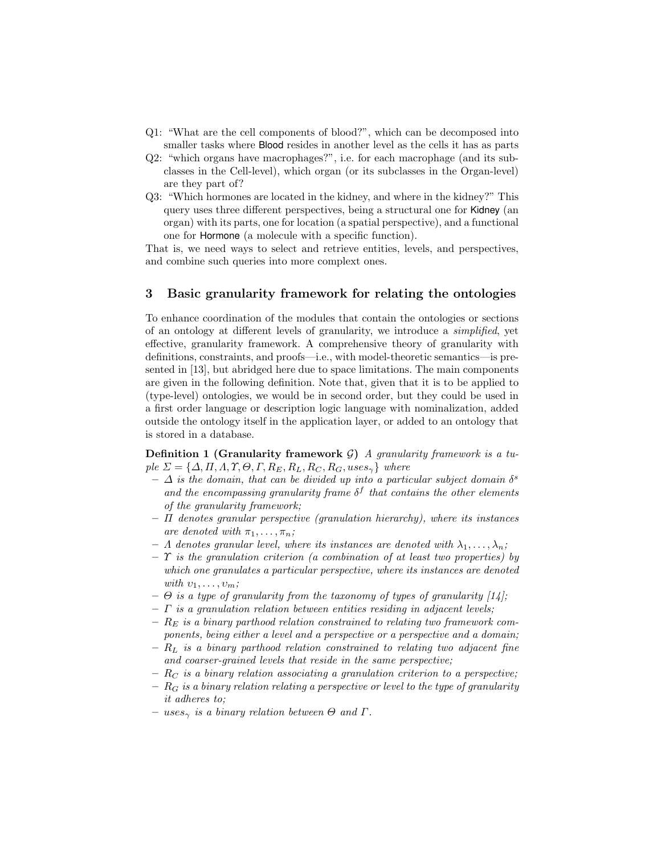- Q1: "What are the cell components of blood?", which can be decomposed into smaller tasks where Blood resides in another level as the cells it has as parts
- Q2: "which organs have macrophages?", i.e. for each macrophage (and its subclasses in the Cell-level), which organ (or its subclasses in the Organ-level) are they part of?
- Q3: "Which hormones are located in the kidney, and where in the kidney?" This query uses three different perspectives, being a structural one for Kidney (an organ) with its parts, one for location (a spatial perspective), and a functional one for Hormone (a molecule with a specific function).

That is, we need ways to select and retrieve entities, levels, and perspectives, and combine such queries into more complext ones.

## 3 Basic granularity framework for relating the ontologies

To enhance coordination of the modules that contain the ontologies or sections of an ontology at different levels of granularity, we introduce a simplified, yet effective, granularity framework. A comprehensive theory of granularity with definitions, constraints, and proofs—i.e., with model-theoretic semantics—is presented in [13], but abridged here due to space limitations. The main components are given in the following definition. Note that, given that it is to be applied to (type-level) ontologies, we would be in second order, but they could be used in a first order language or description logic language with nominalization, added outside the ontology itself in the application layer, or added to an ontology that is stored in a database.

**Definition 1 (Granularity framework G)** A granularity framework is a tuple  $\Sigma = \{\Delta, \Pi, \Lambda, \Upsilon, \Theta, \Gamma, R_E, R_L, R_C, R_G, uses_{\gamma}\}\$  where

- $\Delta$  is the domain, that can be divided up into a particular subject domain  $\delta^s$ and the encompassing granularity frame  $\delta^f$  that contains the other elements of the granularity framework;
- $\Pi$  denotes granular perspective (granulation hierarchy), where its instances are denoted with  $\pi_1, \ldots, \pi_n$ ;
- $\Lambda$  denotes granular level, where its instances are denoted with  $\lambda_1, \ldots, \lambda_n$ ;
- $\Upsilon$  is the granulation criterion (a combination of at least two properties) by which one granulates a particular perspective, where its instances are denoted with  $v_1, \ldots, v_m$ ;
- $\Theta$  is a type of granularity from the taxonomy of types of granularity [14];
- $\Gamma$  is a granulation relation between entities residing in adjacent levels;
- $R_E$  is a binary parthood relation constrained to relating two framework components, being either a level and a perspective or a perspective and a domain;
- $R_L$  is a binary parthood relation constrained to relating two adjacent fine and coarser-grained levels that reside in the same perspective;
- $R_C$  is a binary relation associating a granulation criterion to a perspective;
- $R_G$  is a binary relation relating a perspective or level to the type of granularity it adheres to;
- $-$  uses<sub> $\gamma$ </sub> is a binary relation between  $\Theta$  and  $\Gamma$ .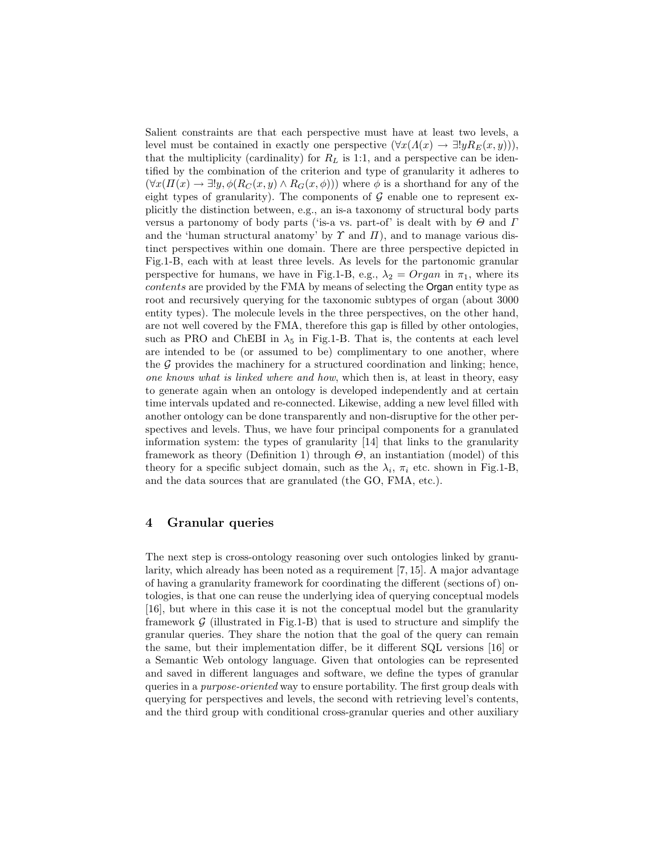Salient constraints are that each perspective must have at least two levels, a level must be contained in exactly one perspective  $(\forall x(A(x) \rightarrow \exists! y R_E(x, y))),$ that the multiplicity (cardinality) for  $R_L$  is 1:1, and a perspective can be identified by the combination of the criterion and type of granularity it adheres to  $(\forall x(\Pi(x) \rightarrow \exists! y, \phi(R_C(x, y) \land R_G(x, \phi)))$  where  $\phi$  is a shorthand for any of the eight types of granularity). The components of  $\mathcal G$  enable one to represent explicitly the distinction between, e.g., an is-a taxonomy of structural body parts versus a partonomy of body parts ('is-a vs. part-of' is dealt with by  $\Theta$  and  $\Gamma$ and the 'human structural anatomy' by  $\Upsilon$  and  $\Pi$ ), and to manage various distinct perspectives within one domain. There are three perspective depicted in Fig.1-B, each with at least three levels. As levels for the partonomic granular perspective for humans, we have in Fig.1-B, e.g.,  $\lambda_2 = Organ$  in  $\pi_1$ , where its contents are provided by the FMA by means of selecting the Organ entity type as root and recursively querying for the taxonomic subtypes of organ (about 3000 entity types). The molecule levels in the three perspectives, on the other hand, are not well covered by the FMA, therefore this gap is filled by other ontologies, such as PRO and ChEBI in  $\lambda_5$  in Fig.1-B. That is, the contents at each level are intended to be (or assumed to be) complimentary to one another, where the  $G$  provides the machinery for a structured coordination and linking; hence, one knows what is linked where and how, which then is, at least in theory, easy to generate again when an ontology is developed independently and at certain time intervals updated and re-connected. Likewise, adding a new level filled with another ontology can be done transparently and non-disruptive for the other perspectives and levels. Thus, we have four principal components for a granulated information system: the types of granularity [14] that links to the granularity framework as theory (Definition 1) through  $\Theta$ , an instantiation (model) of this theory for a specific subject domain, such as the  $\lambda_i$ ,  $\pi_i$  etc. shown in Fig.1-B, and the data sources that are granulated (the GO, FMA, etc.).

## 4 Granular queries

The next step is cross-ontology reasoning over such ontologies linked by granularity, which already has been noted as a requirement [7, 15]. A major advantage of having a granularity framework for coordinating the different (sections of) ontologies, is that one can reuse the underlying idea of querying conceptual models [16], but where in this case it is not the conceptual model but the granularity framework  $\mathcal G$  (illustrated in Fig.1-B) that is used to structure and simplify the granular queries. They share the notion that the goal of the query can remain the same, but their implementation differ, be it different SQL versions [16] or a Semantic Web ontology language. Given that ontologies can be represented and saved in different languages and software, we define the types of granular queries in a purpose-oriented way to ensure portability. The first group deals with querying for perspectives and levels, the second with retrieving level's contents, and the third group with conditional cross-granular queries and other auxiliary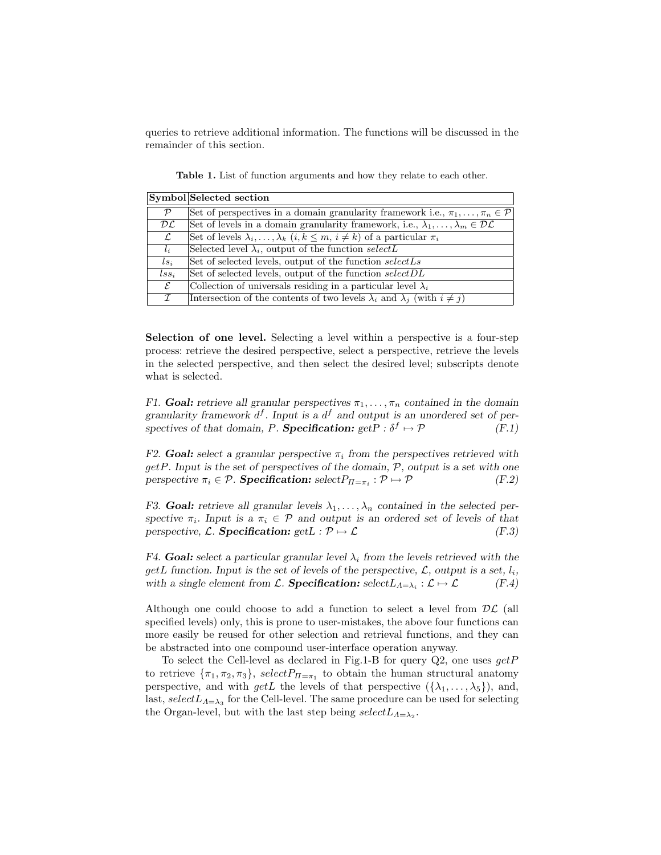queries to retrieve additional information. The functions will be discussed in the remainder of this section.

|                | Symbol Selected section                                                                                |
|----------------|--------------------------------------------------------------------------------------------------------|
| $\mathcal{P}$  | Set of perspectives in a domain granularity framework i.e., $\pi_1, \ldots, \pi_n \in \mathcal{P}$     |
| $\mathcal{DL}$ | Set of levels in a domain granularity framework, i.e., $\lambda_1, \ldots, \lambda_m \in \mathcal{DL}$ |
| $\mathcal{L}$  | Set of levels $\lambda_i, \ldots, \lambda_k$ $(i, k \leq m, i \neq k)$ of a particular $\pi_i$         |
| $l_i$          | Selected level $\lambda_i$ , output of the function select L                                           |
| $ls_i$         | Set of selected levels, output of the function selectLs                                                |
| $lss_i$        | Set of selected levels, output of the function select DL                                               |
| $\mathcal{E}$  | Collection of universals residing in a particular level $\lambda_i$                                    |
| $\mathcal{I}$  | Intersection of the contents of two levels $\lambda_i$ and $\lambda_j$ (with $i \neq j$ )              |

Table 1. List of function arguments and how they relate to each other.

Selection of one level. Selecting a level within a perspective is a four-step process: retrieve the desired perspective, select a perspective, retrieve the levels in the selected perspective, and then select the desired level; subscripts denote what is selected.

F1. Goal: retrieve all granular perspectives  $\pi_1, \ldots, \pi_n$  contained in the domain granularity framework  $d^f$ . Input is a  $d^f$  and output is an unordered set of perspectives of that domain, P. Specification:  $getP : \delta^f$  $(F.1)$ 

F2. Goal: select a granular perspective  $\pi_i$  from the perspectives retrieved with  $getP$ . Input is the set of perspectives of the domain,  $P$ , output is a set with one perspective  $\pi_i \in \mathcal{P}$ . **Specification:** select $P_{\Pi = \pi_i} : \mathcal{P} \mapsto \mathcal{P}$  (F.2)

F3. Goal: retrieve all granular levels  $\lambda_1, \ldots, \lambda_n$  contained in the selected perspective  $\pi_i$ . Input is a  $\pi_i \in \mathcal{P}$  and output is an ordered set of levels of that perspective,  $\mathcal{L}$ . **Specification:** getL :  $\mathcal{P} \mapsto \mathcal{L}$  (F.3)

F4. Goal: select a particular granular level  $\lambda_i$  from the levels retrieved with the  $getL$  function. Input is the set of levels of the perspective,  $\mathcal{L}$ , output is a set,  $l_i$ , with a single element from  $\mathcal{L}$ . **Specification:** select $L_{A=\lambda_i}: \mathcal{L} \mapsto \mathcal{L}$  (F.4)

Although one could choose to add a function to select a level from  $\mathcal{DL}$  (all specified levels) only, this is prone to user-mistakes, the above four functions can more easily be reused for other selection and retrieval functions, and they can be abstracted into one compound user-interface operation anyway.

To select the Cell-level as declared in Fig.1-B for query  $Q2$ , one uses  $getP$ to retrieve  ${\pi_1, \pi_2, \pi_3}$ ,  $selectP_{\Pi = \pi_1}$  to obtain the human structural anatomy perspective, and with  $getL$  the levels of that perspective  $({\lambda_1, \ldots, \lambda_5})$ , and, last,  $selectL_{A=\lambda_3}$  for the Cell-level. The same procedure can be used for selecting the Organ-level, but with the last step being  $selectL_{A=\lambda_2}$ .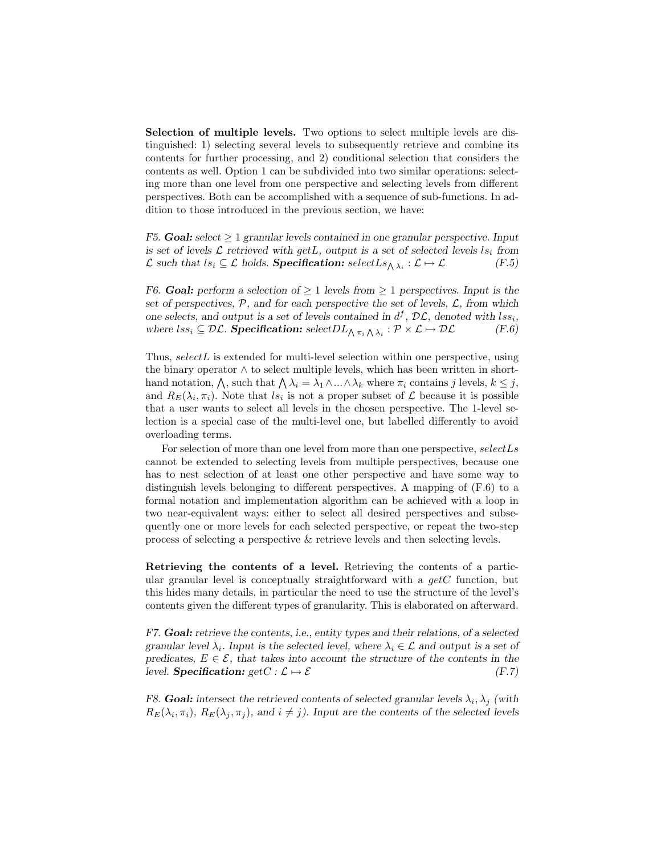Selection of multiple levels. Two options to select multiple levels are distinguished: 1) selecting several levels to subsequently retrieve and combine its contents for further processing, and 2) conditional selection that considers the contents as well. Option 1 can be subdivided into two similar operations: selecting more than one level from one perspective and selecting levels from different perspectives. Both can be accomplished with a sequence of sub-functions. In addition to those introduced in the previous section, we have:

F5. Goal: select  $\geq 1$  granular levels contained in one granular perspective. Input is set of levels  $\mathcal L$  retrieved with getL, output is a set of selected levels  $ls_i$  from L such that  $ls_i \subseteq \mathcal{L}$  holds. Specification:  $selectLs_{\bigwedge \lambda_i} : \mathcal{L} \mapsto \mathcal{L}$  (F.5)

F6. Goal: perform a selection of  $\geq 1$  levels from  $\geq 1$  perspectives. Input is the set of perspectives,  $P$ , and for each perspective the set of levels,  $\mathcal{L}$ , from which one selects, and output is a set of levels contained in  $d^f$ ,  $\mathcal{DL}$ , denoted with  $lss_i$ , where  $lss_i \subseteq \mathcal{DL}$ . Specification:  $selectDL_{\bigwedge \pi_i \bigwedge \lambda_i}: \mathcal{P} \times \mathcal{L} \mapsto \mathcal{DL}$  (F.6)

Thus,  $selectL$  is extended for multi-level selection within one perspective, using the binary operator  $\wedge$  to select multiple levels, which has been written in shorthand notation,  $\bigwedge$ , such that  $\bigwedge \lambda_i = \lambda_1 \wedge ... \wedge \lambda_k$  where  $\pi_i$  contains j levels,  $k \leq j$ , and  $R_E(\lambda_i, \pi_i)$ . Note that  $ls_i$  is not a proper subset of  $\mathcal L$  because it is possible that a user wants to select all levels in the chosen perspective. The 1-level selection is a special case of the multi-level one, but labelled differently to avoid overloading terms.

For selection of more than one level from more than one perspective, selectLs cannot be extended to selecting levels from multiple perspectives, because one has to nest selection of at least one other perspective and have some way to distinguish levels belonging to different perspectives. A mapping of (F.6) to a formal notation and implementation algorithm can be achieved with a loop in two near-equivalent ways: either to select all desired perspectives and subsequently one or more levels for each selected perspective, or repeat the two-step process of selecting a perspective & retrieve levels and then selecting levels.

Retrieving the contents of a level. Retrieving the contents of a particular granular level is conceptually straightforward with a  $getC$  function, but this hides many details, in particular the need to use the structure of the level's contents given the different types of granularity. This is elaborated on afterward.

F7. Goal: retrieve the contents, i.e., entity types and their relations, of a selected granular level  $\lambda_i$ . Input is the selected level, where  $\lambda_i \in \mathcal{L}$  and output is a set of predicates,  $E \in \mathcal{E}$ , that takes into account the structure of the contents in the level. Specification:  $getC : \mathcal{L} \mapsto \mathcal{E}$  (F.7)

F8. Goal: intersect the retrieved contents of selected granular levels  $\lambda_i, \lambda_j$  (with  $R_E(\lambda_i, \pi_i)$ ,  $R_E(\lambda_j, \pi_j)$ , and  $i \neq j$ ). Input are the contents of the selected levels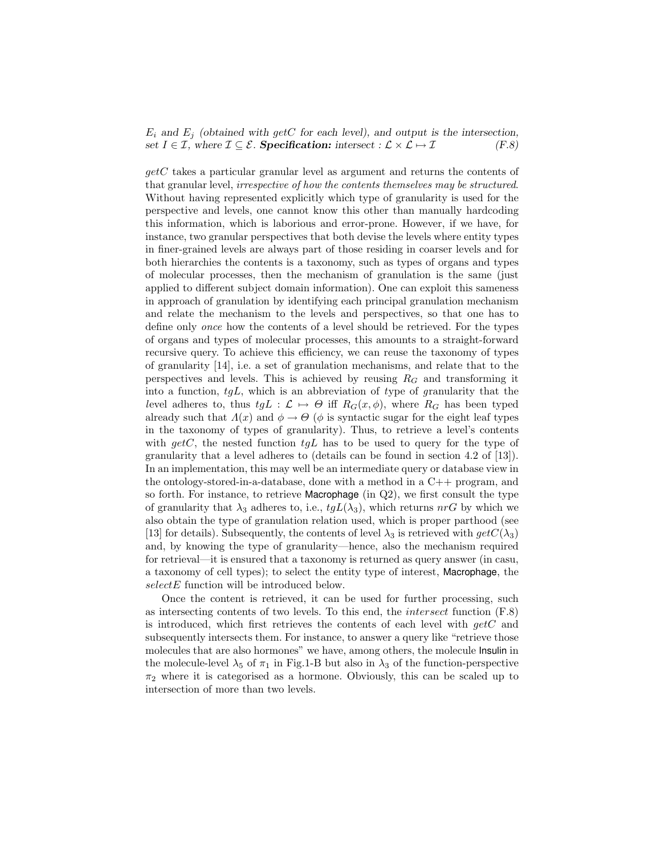$E_i$  and  $E_j$  (obtained with getC for each level), and output is the intersection, set  $I \in \mathcal{I}$ , where  $\mathcal{I} \subseteq \mathcal{E}$ . Specification: intersect :  $\mathcal{L} \times \mathcal{L} \mapsto \mathcal{I}$  (F.8)

 $getC$  takes a particular granular level as argument and returns the contents of that granular level, irrespective of how the contents themselves may be structured. Without having represented explicitly which type of granularity is used for the perspective and levels, one cannot know this other than manually hardcoding this information, which is laborious and error-prone. However, if we have, for instance, two granular perspectives that both devise the levels where entity types in finer-grained levels are always part of those residing in coarser levels and for both hierarchies the contents is a taxonomy, such as types of organs and types of molecular processes, then the mechanism of granulation is the same (just applied to different subject domain information). One can exploit this sameness in approach of granulation by identifying each principal granulation mechanism and relate the mechanism to the levels and perspectives, so that one has to define only once how the contents of a level should be retrieved. For the types of organs and types of molecular processes, this amounts to a straight-forward recursive query. To achieve this efficiency, we can reuse the taxonomy of types of granularity [14], i.e. a set of granulation mechanisms, and relate that to the perspectives and levels. This is achieved by reusing  $R_G$  and transforming it into a function,  $tgL$ , which is an abbreviation of type of granularity that the level adheres to, thus  $tgL : \mathcal{L} \mapsto \Theta$  iff  $R_G(x, \phi)$ , where  $R_G$  has been typed already such that  $\Lambda(x)$  and  $\phi \to \Theta$  ( $\phi$  is syntactic sugar for the eight leaf types in the taxonomy of types of granularity). Thus, to retrieve a level's contents with getC, the nested function  $tgL$  has to be used to query for the type of granularity that a level adheres to (details can be found in section 4.2 of [13]). In an implementation, this may well be an intermediate query or database view in the ontology-stored-in-a-database, done with a method in a C++ program, and so forth. For instance, to retrieve **Macrophage** (in  $Q2$ ), we first consult the type of granularity that  $\lambda_3$  adheres to, i.e.,  $tgL(\lambda_3)$ , which returns  $nrG$  by which we also obtain the type of granulation relation used, which is proper parthood (see [13] for details). Subsequently, the contents of level  $\lambda_3$  is retrieved with  $getC(\lambda_3)$ and, by knowing the type of granularity—hence, also the mechanism required for retrieval—it is ensured that a taxonomy is returned as query answer (in casu, a taxonomy of cell types); to select the entity type of interest, Macrophage, the selectE function will be introduced below.

Once the content is retrieved, it can be used for further processing, such as intersecting contents of two levels. To this end, the intersect function (F.8) is introduced, which first retrieves the contents of each level with  $getC$  and subsequently intersects them. For instance, to answer a query like "retrieve those molecules that are also hormones" we have, among others, the molecule Insulin in the molecule-level  $\lambda_5$  of  $\pi_1$  in Fig.1-B but also in  $\lambda_3$  of the function-perspective  $\pi_2$  where it is categorised as a hormone. Obviously, this can be scaled up to intersection of more than two levels.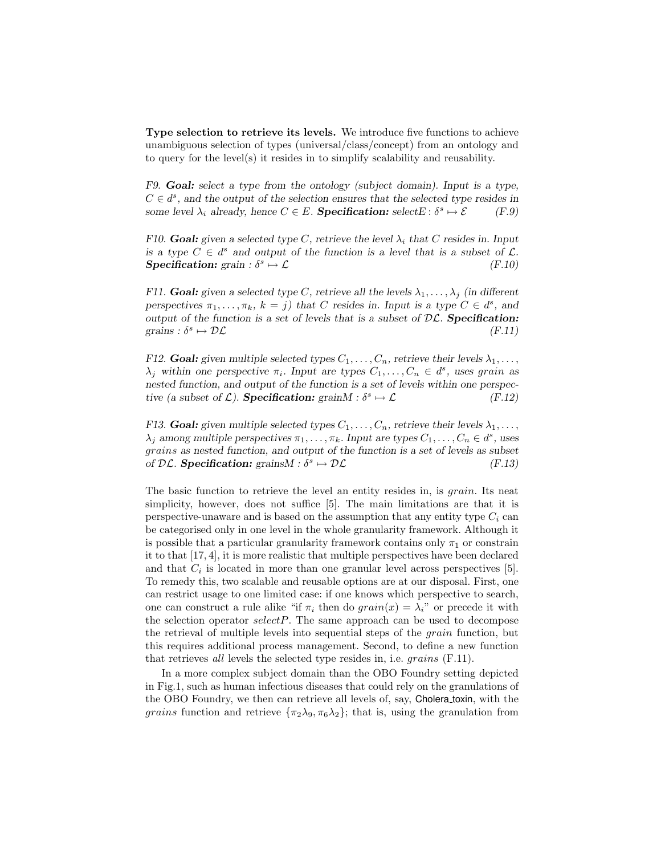Type selection to retrieve its levels. We introduce five functions to achieve unambiguous selection of types (universal/class/concept) from an ontology and to query for the level(s) it resides in to simplify scalability and reusability.

F9. Goal: select a type from the ontology (subject domain). Input is a type,  $C \in d^s$ , and the output of the selection ensures that the selected type resides in some level  $\lambda_i$  already, hence  $C \in E$ . **Specification:** select  $E : \delta^s$  $(F.9)$ 

F10. Goal: given a selected type C, retrieve the level  $\lambda_i$  that C resides in. Input is a type  $C \in d^s$  and output of the function is a level that is a subset of  $\mathcal{L}$ . **Specification:** grain :  $\delta^s$  $\mapsto \mathcal{L}$  (F.10)

F11. Goal: given a selected type C, retrieve all the levels  $\lambda_1, \ldots, \lambda_j$  (in different perspectives  $\pi_1, \ldots, \pi_k$ ,  $k = j$ ) that C resides in. Input is a type  $C \in d^s$ , and output of the function is a set of levels that is a subset of  $D\mathcal{L}$ . Specification: grains :  $\delta^s$  $\mapsto \mathcal{DL}$  (F.11)

F12. Goal: given multiple selected types  $C_1, \ldots, C_n$ , retrieve their levels  $\lambda_1, \ldots,$  $\lambda_j$  within one perspective  $\pi_i$ . Input are types  $C_1, \ldots, C_n \in d^s$ , uses grain as nested function, and output of the function is a set of levels within one perspective (a subset of  $\mathcal{L}$ ). **Specification:** grainM :  $\delta^s$  $(F.12)$ 

F13. Goal: given multiple selected types  $C_1, \ldots, C_n$ , retrieve their levels  $\lambda_1, \ldots,$  $\lambda_j$  among multiple perspectives  $\pi_1, \ldots, \pi_k$ . Input are types  $C_1, \ldots, C_n \in d^s$ , uses grains as nested function, and output of the function is a set of levels as subset of  $\mathcal{DL}$ . Specification: grains $M : \delta^s \mapsto \mathcal{DL}$  (F.13)

The basic function to retrieve the level an entity resides in, is *grain*. Its neat simplicity, however, does not suffice [5]. The main limitations are that it is perspective-unaware and is based on the assumption that any entity type  $C_i$  can be categorised only in one level in the whole granularity framework. Although it is possible that a particular granularity framework contains only  $\pi_1$  or constrain it to that [17, 4], it is more realistic that multiple perspectives have been declared and that  $C_i$  is located in more than one granular level across perspectives [5]. To remedy this, two scalable and reusable options are at our disposal. First, one can restrict usage to one limited case: if one knows which perspective to search, one can construct a rule alike "if  $\pi_i$  then do  $grain(x) = \lambda_i$ " or precede it with the selection operator  $selectP$ . The same approach can be used to decompose the retrieval of multiple levels into sequential steps of the grain function, but this requires additional process management. Second, to define a new function that retrieves all levels the selected type resides in, i.e. grains (F.11).

In a more complex subject domain than the OBO Foundry setting depicted in Fig.1, such as human infectious diseases that could rely on the granulations of the OBO Foundry, we then can retrieve all levels of, say, Cholera toxin, with the grains function and retrieve  $\{\pi_2\lambda_9, \pi_6\lambda_2\}$ ; that is, using the granulation from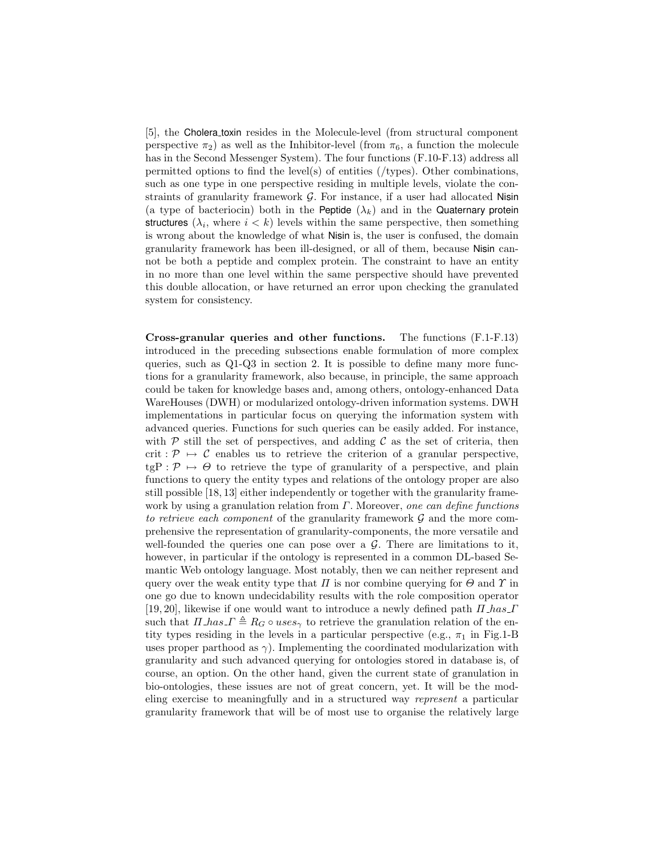[5], the Cholera toxin resides in the Molecule-level (from structural component perspective  $\pi_2$ ) as well as the Inhibitor-level (from  $\pi_6$ , a function the molecule has in the Second Messenger System). The four functions (F.10-F.13) address all permitted options to find the level(s) of entities (/types). Other combinations, such as one type in one perspective residing in multiple levels, violate the constraints of granularity framework  $G$ . For instance, if a user had allocated Nisin (a type of bacteriocin) both in the Peptide  $(\lambda_k)$  and in the Quaternary protein structures  $(\lambda_i,$  where  $i < k$ ) levels within the same perspective, then something is wrong about the knowledge of what Nisin is, the user is confused, the domain granularity framework has been ill-designed, or all of them, because Nisin cannot be both a peptide and complex protein. The constraint to have an entity in no more than one level within the same perspective should have prevented this double allocation, or have returned an error upon checking the granulated system for consistency.

Cross-granular queries and other functions. The functions (F.1-F.13) introduced in the preceding subsections enable formulation of more complex queries, such as Q1-Q3 in section 2. It is possible to define many more functions for a granularity framework, also because, in principle, the same approach could be taken for knowledge bases and, among others, ontology-enhanced Data WareHouses (DWH) or modularized ontology-driven information systems. DWH implementations in particular focus on querying the information system with advanced queries. Functions for such queries can be easily added. For instance, with  $P$  still the set of perspectives, and adding  $C$  as the set of criteria, then crit :  $\mathcal{P} \mapsto \mathcal{C}$  enables us to retrieve the criterion of a granular perspective,  $tgP: \mathcal{P} \mapsto \Theta$  to retrieve the type of granularity of a perspective, and plain functions to query the entity types and relations of the ontology proper are also still possible [18, 13] either independently or together with the granularity framework by using a granulation relation from  $\Gamma$ . Moreover, one can define functions to retrieve each component of the granularity framework  $\mathcal G$  and the more comprehensive the representation of granularity-components, the more versatile and well-founded the queries one can pose over a  $G$ . There are limitations to it, however, in particular if the ontology is represented in a common DL-based Semantic Web ontology language. Most notably, then we can neither represent and query over the weak entity type that  $\Pi$  is nor combine querying for  $\Theta$  and  $\Upsilon$  in one go due to known undecidability results with the role composition operator [19, 20], likewise if one would want to introduce a newly defined path  $\Pi$  has  $\Gamma$ such that  $\Pi$  has  $\Gamma \triangleq R_G \circ uses_{\gamma}$  to retrieve the granulation relation of the entity types residing in the levels in a particular perspective (e.g.,  $\pi_1$  in Fig.1-B uses proper parthood as  $\gamma$ ). Implementing the coordinated modularization with granularity and such advanced querying for ontologies stored in database is, of course, an option. On the other hand, given the current state of granulation in bio-ontologies, these issues are not of great concern, yet. It will be the modeling exercise to meaningfully and in a structured way represent a particular granularity framework that will be of most use to organise the relatively large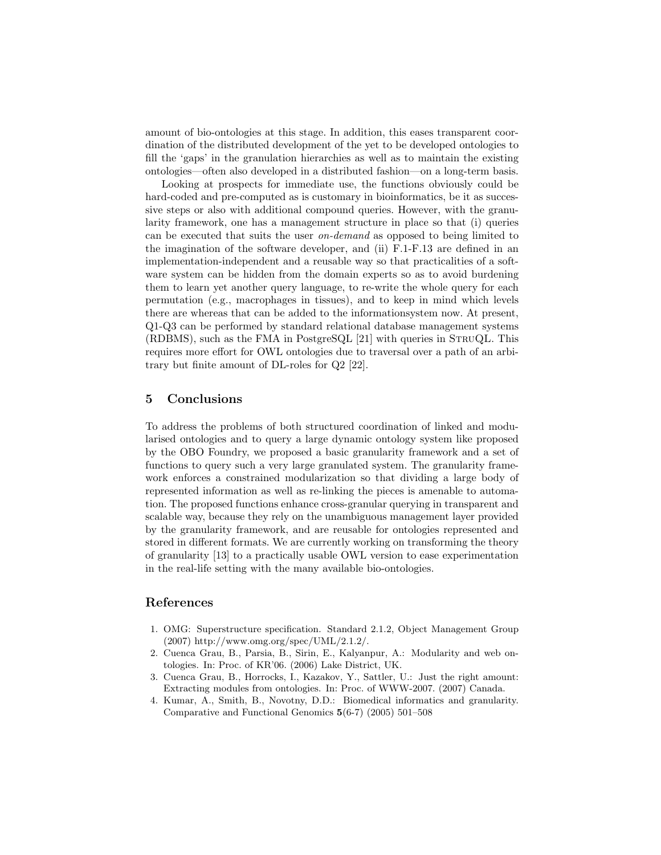amount of bio-ontologies at this stage. In addition, this eases transparent coordination of the distributed development of the yet to be developed ontologies to fill the 'gaps' in the granulation hierarchies as well as to maintain the existing ontologies—often also developed in a distributed fashion—on a long-term basis.

Looking at prospects for immediate use, the functions obviously could be hard-coded and pre-computed as is customary in bioinformatics, be it as successive steps or also with additional compound queries. However, with the granularity framework, one has a management structure in place so that (i) queries can be executed that suits the user on-demand as opposed to being limited to the imagination of the software developer, and (ii) F.1-F.13 are defined in an implementation-independent and a reusable way so that practicalities of a software system can be hidden from the domain experts so as to avoid burdening them to learn yet another query language, to re-write the whole query for each permutation (e.g., macrophages in tissues), and to keep in mind which levels there are whereas that can be added to the informationsystem now. At present, Q1-Q3 can be performed by standard relational database management systems (RDBMS), such as the FMA in PostgreSQL [21] with queries in StruQL. This requires more effort for OWL ontologies due to traversal over a path of an arbitrary but finite amount of DL-roles for Q2 [22].

#### 5 Conclusions

To address the problems of both structured coordination of linked and modularised ontologies and to query a large dynamic ontology system like proposed by the OBO Foundry, we proposed a basic granularity framework and a set of functions to query such a very large granulated system. The granularity framework enforces a constrained modularization so that dividing a large body of represented information as well as re-linking the pieces is amenable to automation. The proposed functions enhance cross-granular querying in transparent and scalable way, because they rely on the unambiguous management layer provided by the granularity framework, and are reusable for ontologies represented and stored in different formats. We are currently working on transforming the theory of granularity [13] to a practically usable OWL version to ease experimentation in the real-life setting with the many available bio-ontologies.

## References

- 1. OMG: Superstructure specification. Standard 2.1.2, Object Management Group (2007) http://www.omg.org/spec/UML/2.1.2/.
- 2. Cuenca Grau, B., Parsia, B., Sirin, E., Kalyanpur, A.: Modularity and web ontologies. In: Proc. of KR'06. (2006) Lake District, UK.
- 3. Cuenca Grau, B., Horrocks, I., Kazakov, Y., Sattler, U.: Just the right amount: Extracting modules from ontologies. In: Proc. of WWW-2007. (2007) Canada.
- 4. Kumar, A., Smith, B., Novotny, D.D.: Biomedical informatics and granularity. Comparative and Functional Genomics 5(6-7) (2005) 501–508